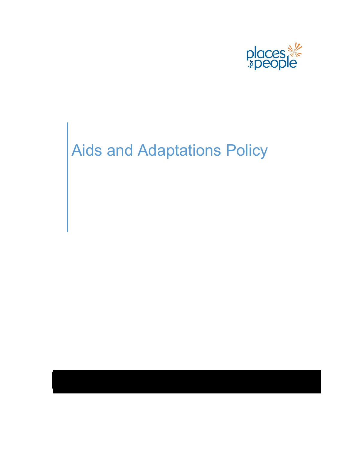

# Aids and Adaptations Policy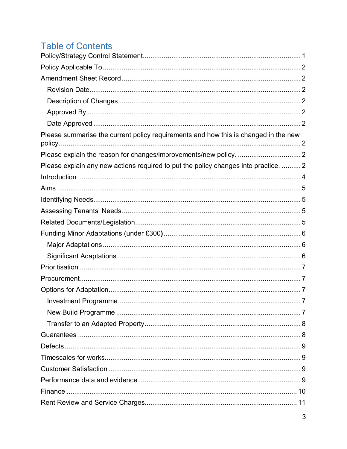# **Table of Contents**

| Please summarise the current policy requirements and how this is changed in the new |  |
|-------------------------------------------------------------------------------------|--|
|                                                                                     |  |
| Please explain any new actions required to put the policy changes into practice.  2 |  |
|                                                                                     |  |
|                                                                                     |  |
|                                                                                     |  |
|                                                                                     |  |
|                                                                                     |  |
|                                                                                     |  |
|                                                                                     |  |
|                                                                                     |  |
|                                                                                     |  |
|                                                                                     |  |
|                                                                                     |  |
|                                                                                     |  |
|                                                                                     |  |
|                                                                                     |  |
|                                                                                     |  |
|                                                                                     |  |
|                                                                                     |  |
|                                                                                     |  |
|                                                                                     |  |
|                                                                                     |  |
|                                                                                     |  |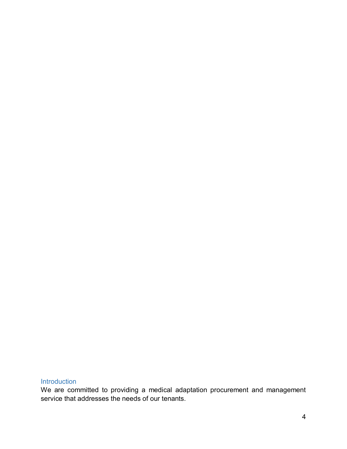# <span id="page-2-0"></span>Introduction

We are committed to providing a medical adaptation procurement and management service that addresses the needs of our tenants.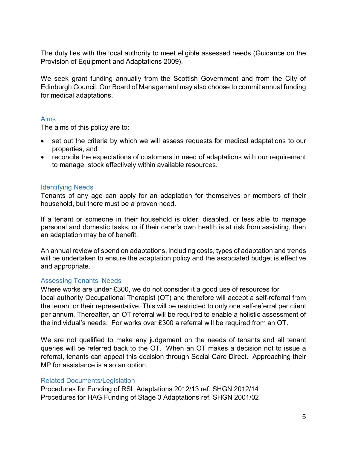The duty lies with the local authority to meet eligible assessed needs (Guidance on the Provision of Equipment and Adaptations 2009).

We seek grant funding annually from the Scottish Government and from the City of Edinburgh Council. Our Board of Management may also choose to commit annual funding for medical adaptations.

#### <span id="page-3-0"></span>Aims

The aims of this policy are to:

- set out the criteria by which we will assess requests for medical adaptations to our properties, and
- reconcile the expectations of customers in need of adaptations with our requirement to manage stock effectively within available resources.

#### <span id="page-3-1"></span>Identifying Needs

Tenants of any age can apply for an adaptation for themselves or members of their household, but there must be a proven need.

If a tenant or someone in their household is older, disabled, or less able to manage personal and domestic tasks, or if their carer's own health is at risk from assisting, then an adaptation may be of benefit.

An annual review of spend on adaptations, including costs, types of adaptation and trends will be undertaken to ensure the adaptation policy and the associated budget is effective and appropriate.

#### <span id="page-3-2"></span>Assessing Tenants' Needs

Where works are under £300, we do not consider it a good use of resources for local authority Occupational Therapist (OT) and therefore will accept a self-referral from the tenant or their representative. This will be restricted to only one self-referral per client per annum. Thereafter, an OT referral will be required to enable a holistic assessment of the individual's needs. For works over £300 a referral will be required from an OT.

We are not qualified to make any judgement on the needs of tenants and all tenant queries will be referred back to the OT. When an OT makes a decision not to issue a referral, tenants can appeal this decision through Social Care Direct. Approaching their MP for assistance is also an option.

#### <span id="page-3-3"></span>Related Documents/Legislation

Procedures for Funding of RSL Adaptations 2012/13 ref. SHGN 2012/14 Procedures for HAG Funding of Stage 3 Adaptations ref. SHGN 2001/02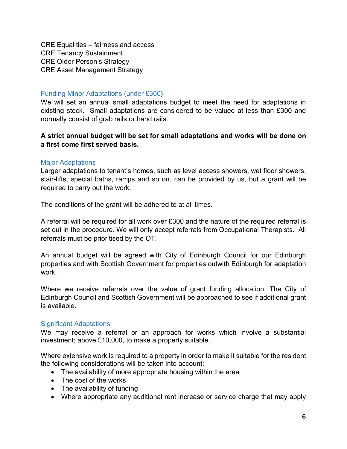CRE Equalities – fairness and access CRE Tenancy Sustainment CRE Older Person's Strategy CRE Asset Management Strategy

#### <span id="page-4-0"></span>Funding Minor Adaptations (under £300**)**

We will set an annual small adaptations budget to meet the need for adaptations in existing stock. Small adaptations are considered to be valued at less than £300 and normally consist of grab rails or hand rails.

## **A strict annual budget will be set for small adaptations and works will be done on a first come first served basis.**

#### <span id="page-4-1"></span>Major Adaptations

Larger adaptations to tenant's homes, such as level access showers, wet floor showers, stair-lifts, special baths, ramps and so on. can be provided by us, but a grant will be required to carry out the work.

The conditions of the grant will be adhered to at all times.

A referral will be required for all work over £300 and the nature of the required referral is set out in the procedure. We will only accept referrals from Occupational Therapists. All referrals must be prioritised by the OT.

An annual budget will be agreed with City of Edinburgh Council for our Edinburgh properties and with Scottish Government for properties outwith Edinburgh for adaptation work.

Where we receive referrals over the value of grant funding allocation, The City of Edinburgh Council and Scottish Government will be approached to see if additional grant is available.

#### <span id="page-4-2"></span>Significant Adaptations

We may receive a referral or an approach for works which involve a substantial investment; above £10,000, to make a property suitable.

Where extensive work is required to a property in order to make it suitable for the resident the following considerations will be taken into account:

- The availability of more appropriate housing within the area
- The cost of the works
- The availability of funding
- Where appropriate any additional rent increase or service charge that may apply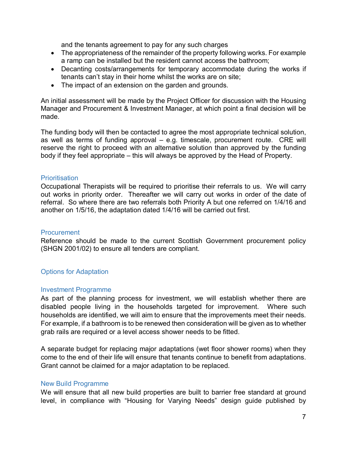and the tenants agreement to pay for any such charges

- The appropriateness of the remainder of the property following works. For example a ramp can be installed but the resident cannot access the bathroom;
- Decanting costs/arrangements for temporary accommodate during the works if tenants can't stay in their home whilst the works are on site;
- The impact of an extension on the garden and grounds.

An initial assessment will be made by the Project Officer for discussion with the Housing Manager and Procurement & Investment Manager, at which point a final decision will be made.

The funding body will then be contacted to agree the most appropriate technical solution, as well as terms of funding approval – e.g. timescale, procurement route. CRE will reserve the right to proceed with an alternative solution than approved by the funding body if they feel appropriate – this will always be approved by the Head of Property.

#### <span id="page-5-0"></span>**Prioritisation**

Occupational Therapists will be required to prioritise their referrals to us. We will carry out works in priority order. Thereafter we will carry out works in order of the date of referral. So where there are two referrals both Priority A but one referred on 1/4/16 and another on 1/5/16, the adaptation dated 1/4/16 will be carried out first.

#### <span id="page-5-1"></span>**Procurement**

Reference should be made to the current Scottish Government procurement policy (SHGN 2001/02) to ensure all tenders are compliant.

#### <span id="page-5-2"></span>Options for Adaptation

#### <span id="page-5-3"></span>Investment Programme

As part of the planning process for investment, we will establish whether there are disabled people living in the households targeted for improvement. Where such households are identified, we will aim to ensure that the improvements meet their needs. For example, if a bathroom is to be renewed then consideration will be given as to whether grab rails are required or a level access shower needs to be fitted.

A separate budget for replacing major adaptations (wet floor shower rooms) when they come to the end of their life will ensure that tenants continue to benefit from adaptations. Grant cannot be claimed for a major adaptation to be replaced.

#### <span id="page-5-4"></span>New Build Programme

We will ensure that all new build properties are built to barrier free standard at ground level, in compliance with "Housing for Varying Needs" design guide published by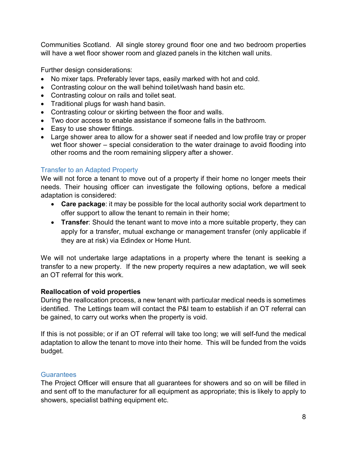Communities Scotland. All single storey ground floor one and two bedroom properties will have a wet floor shower room and glazed panels in the kitchen wall units.

Further design considerations:

- No mixer taps. Preferably lever taps, easily marked with hot and cold.
- Contrasting colour on the wall behind toilet/wash hand basin etc.
- Contrasting colour on rails and toilet seat.
- Traditional plugs for wash hand basin.
- Contrasting colour or skirting between the floor and walls.
- Two door access to enable assistance if someone falls in the bathroom.
- Easy to use shower fittings.
- Large shower area to allow for a shower seat if needed and low profile tray or proper wet floor shower – special consideration to the water drainage to avoid flooding into other rooms and the room remaining slippery after a shower.

# <span id="page-6-0"></span>Transfer to an Adapted Property

We will not force a tenant to move out of a property if their home no longer meets their needs. Their housing officer can investigate the following options, before a medical adaptation is considered:

- **Care package**: it may be possible for the local authority social work department to offer support to allow the tenant to remain in their home;
- **Transfer**: Should the tenant want to move into a more suitable property, they can apply for a transfer, mutual exchange or management transfer (only applicable if they are at risk) via Edindex or Home Hunt.

We will not undertake large adaptations in a property where the tenant is seeking a transfer to a new property. If the new property requires a new adaptation, we will seek an OT referral for this work.

#### **Reallocation of void properties**

During the reallocation process, a new tenant with particular medical needs is sometimes identified. The Lettings team will contact the P&I team to establish if an OT referral can be gained, to carry out works when the property is void.

If this is not possible; or if an OT referral will take too long; we will self-fund the medical adaptation to allow the tenant to move into their home. This will be funded from the voids budget.

#### <span id="page-6-1"></span>**Guarantees**

The Project Officer will ensure that all guarantees for showers and so on will be filled in and sent off to the manufacturer for all equipment as appropriate; this is likely to apply to showers, specialist bathing equipment etc.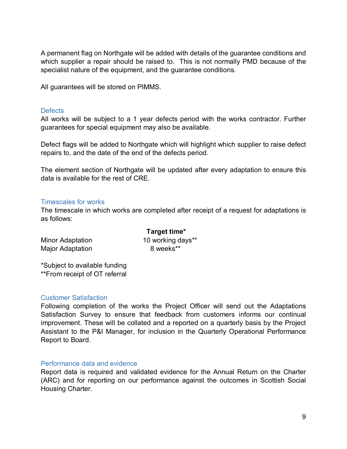A permanent flag on Northgate will be added with details of the guarantee conditions and which supplier a repair should be raised to. This is not normally PMD because of the specialist nature of the equipment, and the guarantee conditions.

All guarantees will be stored on PIMMS.

#### <span id="page-7-0"></span>Defects

All works will be subject to a 1 year defects period with the works contractor. Further guarantees for special equipment may also be available.

Defect flags will be added to Northgate which will highlight which supplier to raise defect repairs to, and the date of the end of the defects period.

The element section of Northgate will be updated after every adaptation to ensure this data is available for the rest of CRE.

#### <span id="page-7-1"></span>Timescales for works

The timescale in which works are completed after receipt of a request for adaptations is as follows:

| Target time*      |
|-------------------|
| 10 working days** |
| 8 weeks**         |
|                   |

\*Subject to available funding \*\*From receipt of OT referral

#### <span id="page-7-2"></span>Customer Satisfaction

Following completion of the works the Project Officer will send out the Adaptations Satisfaction Survey to ensure that feedback from customers informs our continual improvement. These will be collated and a reported on a quarterly basis by the Project Assistant to the P&I Manager, for inclusion in the Quarterly Operational Performance Report to Board.

#### <span id="page-7-3"></span>Performance data and evidence

Report data is required and validated evidence for the Annual Return on the Charter (ARC) and for reporting on our performance against the outcomes in Scottish Social Housing Charter.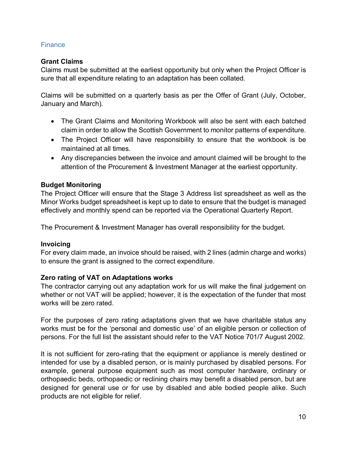# <span id="page-8-0"></span>**Finance**

## **Grant Claims**

Claims must be submitted at the earliest opportunity but only when the Project Officer is sure that all expenditure relating to an adaptation has been collated.

Claims will be submitted on a quarterly basis as per the Offer of Grant (July, October, January and March).

- The Grant Claims and Monitoring Workbook will also be sent with each batched claim in order to allow the Scottish Government to monitor patterns of expenditure.
- The Project Officer will have responsibility to ensure that the workbook is be maintained at all times.
- Any discrepancies between the invoice and amount claimed will be brought to the attention of the Procurement & Investment Manager at the earliest opportunity.

#### **Budget Monitoring**

The Project Officer will ensure that the Stage 3 Address list spreadsheet as well as the Minor Works budget spreadsheet is kept up to date to ensure that the budget is managed effectively and monthly spend can be reported via the Operational Quarterly Report.

The Procurement & Investment Manager has overall responsibility for the budget.

#### **Invoicing**

For every claim made, an invoice should be raised, with 2 lines (admin charge and works) to ensure the grant is assigned to the correct expenditure.

#### **Zero rating of VAT on Adaptations works**

The contractor carrying out any adaptation work for us will make the final judgement on whether or not VAT will be applied; however, it is the expectation of the funder that most works will be zero rated.

For the purposes of zero rating adaptations given that we have charitable status any works must be for the 'personal and domestic use' of an eligible person or collection of persons. For the full list the assistant should refer to the VAT Notice 701/7 August 2002.

It is not sufficient for zero-rating that the equipment or appliance is merely destined or intended for use by a disabled person, or is mainly purchased by disabled persons. For example, general purpose equipment such as most computer hardware, ordinary or orthopaedic beds, orthopaedic or reclining chairs may benefit a disabled person, but are designed for general use or for use by disabled and able bodied people alike. Such products are not eligible for relief.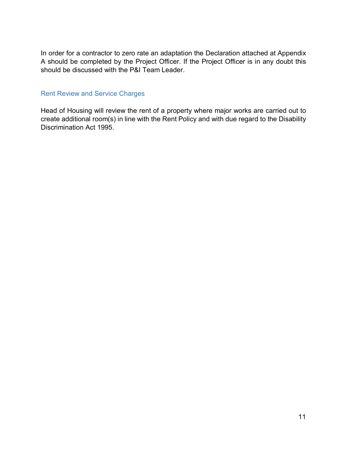In order for a contractor to zero rate an adaptation the Declaration attached at Appendix A should be completed by the Project Officer. If the Project Officer is in any doubt this should be discussed with the P&I Team Leader.

#### <span id="page-9-0"></span>Rent Review and Service Charges

Head of Housing will review the rent of a property where major works are carried out to create additional room(s) in line with the Rent Policy and with due regard to the Disability Discrimination Act 1995.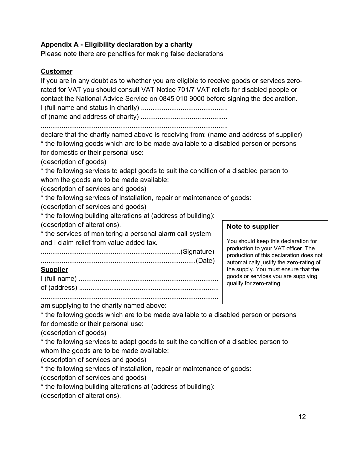# **Appendix A - Eligibility declaration by a charity**

Please note there are penalties for making false declarations

# **Customer**

If you are in any doubt as to whether you are eligible to receive goods or services zerorated for VAT you should consult VAT Notice 701/7 VAT reliefs for disabled people or contact the National Advice Service on 0845 010 9000 before signing the declaration. I (full name and status in charity) ..............................................

of (name and address of charity) ..............................................

...................................................................................................

declare that the charity named above is receiving from: (name and address of supplier) \* the following goods which are to be made available to a disabled person or persons for domestic or their personal use:

(description of goods)

\* the following services to adapt goods to suit the condition of a disabled person to whom the goods are to be made available:

(description of services and goods)

\* the following services of installation, repair or maintenance of goods:

(description of services and goods)

\* the following building alterations at (address of building):

(description of alterations).

\* the services of monitoring a personal alarm call system and I claim relief from value added tax.

..........................................................................(Signature)

| Sunn |  |
|------|--|

I (full name) .......................................................................... of (address) ..........................................................................

..............................................................................................

#### **Note to supplier**

You should keep this declaration for production to your VAT officer. The production of this declaration does not automatically justify the zero-rating of the supply. You must ensure that the goods or services you are supplying qualify for zero-rating.

am supplying to the charity named above:

\* the following goods which are to be made available to a disabled person or persons for domestic or their personal use:

(description of goods)

\* the following services to adapt goods to suit the condition of a disabled person to whom the goods are to be made available:

(description of services and goods)

\* the following services of installation, repair or maintenance of goods:

(description of services and goods)

\* the following building alterations at (address of building):

(description of alterations).